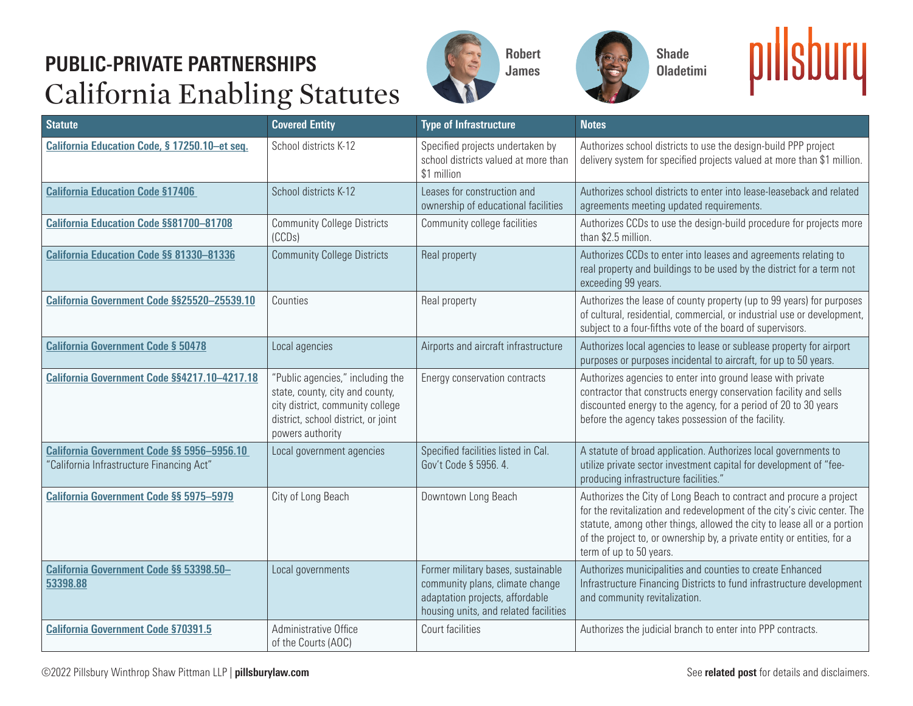## **PUBLIC-PRIVATE PARTNERSHIPS** California Enabling Statutes







| <b>Statute</b>                                                                          | <b>Covered Entity</b>                                                                                                                                              | <b>Type of Infrastructure</b>                                                                                                                     | <b>Notes</b>                                                                                                                                                                                                                                                                                                                     |
|-----------------------------------------------------------------------------------------|--------------------------------------------------------------------------------------------------------------------------------------------------------------------|---------------------------------------------------------------------------------------------------------------------------------------------------|----------------------------------------------------------------------------------------------------------------------------------------------------------------------------------------------------------------------------------------------------------------------------------------------------------------------------------|
| California Education Code, § 17250.10-et seq.                                           | School districts K-12                                                                                                                                              | Specified projects undertaken by<br>school districts valued at more than<br>\$1 million                                                           | Authorizes school districts to use the design-build PPP project<br>delivery system for specified projects valued at more than \$1 million.                                                                                                                                                                                       |
| <b>California Education Code §17406</b>                                                 | School districts K-12                                                                                                                                              | Leases for construction and<br>ownership of educational facilities                                                                                | Authorizes school districts to enter into lease-leaseback and related<br>agreements meeting updated requirements.                                                                                                                                                                                                                |
| <b>California Education Code §§81700-81708</b>                                          | <b>Community College Districts</b><br>(CCDs)                                                                                                                       | Community college facilities                                                                                                                      | Authorizes CCDs to use the design-build procedure for projects more<br>than \$2.5 million.                                                                                                                                                                                                                                       |
| California Education Code §§ 81330-81336                                                | <b>Community College Districts</b>                                                                                                                                 | Real property                                                                                                                                     | Authorizes CCDs to enter into leases and agreements relating to<br>real property and buildings to be used by the district for a term not<br>exceeding 99 years.                                                                                                                                                                  |
| California Government Code §§25520-25539.10                                             | Counties                                                                                                                                                           | Real property                                                                                                                                     | Authorizes the lease of county property (up to 99 years) for purposes<br>of cultural, residential, commercial, or industrial use or development,<br>subject to a four-fifths vote of the board of supervisors.                                                                                                                   |
| <b>California Government Code § 50478</b>                                               | Local agencies                                                                                                                                                     | Airports and aircraft infrastructure                                                                                                              | Authorizes local agencies to lease or sublease property for airport<br>purposes or purposes incidental to aircraft, for up to 50 years.                                                                                                                                                                                          |
| California Government Code §§4217.10-4217.18                                            | "Public agencies," including the<br>state, county, city and county,<br>city district, community college<br>district, school district, or joint<br>powers authority | Energy conservation contracts                                                                                                                     | Authorizes agencies to enter into ground lease with private<br>contractor that constructs energy conservation facility and sells<br>discounted energy to the agency, for a period of 20 to 30 years<br>before the agency takes possession of the facility.                                                                       |
| California Government Code §§ 5956-5956.10<br>"California Infrastructure Financing Act" | Local government agencies                                                                                                                                          | Specified facilities listed in Cal.<br>Gov't Code § 5956. 4.                                                                                      | A statute of broad application. Authorizes local governments to<br>utilize private sector investment capital for development of "fee-<br>producing infrastructure facilities.'                                                                                                                                                   |
| California Government Code §§ 5975-5979                                                 | City of Long Beach                                                                                                                                                 | Downtown Long Beach                                                                                                                               | Authorizes the City of Long Beach to contract and procure a project<br>for the revitalization and redevelopment of the city's civic center. The<br>statute, among other things, allowed the city to lease all or a portion<br>of the project to, or ownership by, a private entity or entities, for a<br>term of up to 50 years. |
| California Government Code §§ 53398.50-<br>53398.88                                     | Local governments                                                                                                                                                  | Former military bases, sustainable<br>community plans, climate change<br>adaptation projects, affordable<br>housing units, and related facilities | Authorizes municipalities and counties to create Enhanced<br>Infrastructure Financing Districts to fund infrastructure development<br>and community revitalization.                                                                                                                                                              |
| <b>California Government Code §70391.5</b>                                              | Administrative Office<br>of the Courts (AOC)                                                                                                                       | Court facilities                                                                                                                                  | Authorizes the judicial branch to enter into PPP contracts.                                                                                                                                                                                                                                                                      |